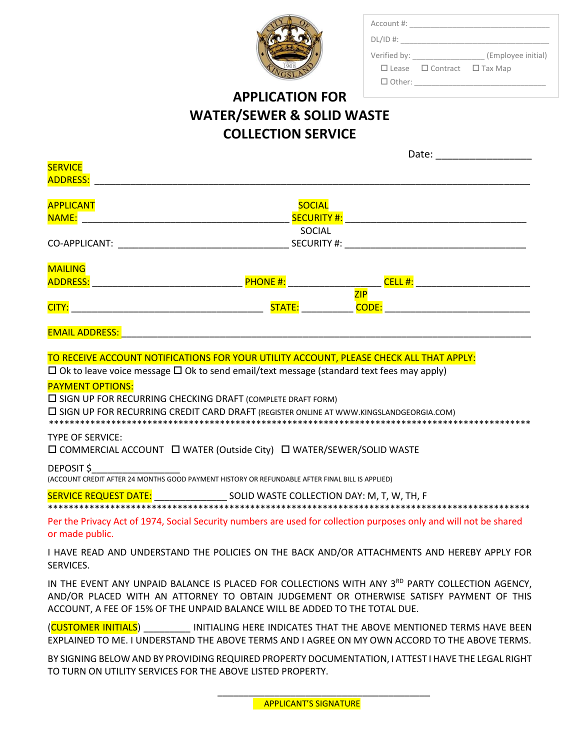| <b>GRORGIA</b><br>$\overline{3S}$ |
|-----------------------------------|

| Account #:    |                                             |                    |
|---------------|---------------------------------------------|--------------------|
| $DL/ID$ #:    |                                             |                    |
| Verified by:  |                                             | (Employee initial) |
|               | $\Box$ Lease $\Box$ Contract $\Box$ Tax Map |                    |
| $\Box$ Other: |                                             |                    |

# **APPLICATION FOR WATER/SEWER & SOLID WASTE COLLECTION SERVICE**

|                                                                                                                   | Date:              |
|-------------------------------------------------------------------------------------------------------------------|--------------------|
| <b>SERVICE</b>                                                                                                    |                    |
| <b>ADDRESS:</b>                                                                                                   |                    |
| <b>APPLICANT</b>                                                                                                  | <b>SOCIAL</b>      |
| NAME:                                                                                                             | <b>SECURITY #:</b> |
|                                                                                                                   | SOCIAL             |
| CO-APPLICANT:<br><u> 1980 - Jan James James Barnett, fransk politik (d. 1980)</u>                                 |                    |
| <b>MAILING</b>                                                                                                    |                    |
| <b>PHONE#:</b><br><b>ADDRESS:</b>                                                                                 |                    |
|                                                                                                                   | ZIP                |
| STATE:<br>CITY:                                                                                                   | <b>CODE:</b>       |
| <b>EMAIL ADDRESS:</b>                                                                                             |                    |
|                                                                                                                   |                    |
| TO RECEIVE ACCOUNT NOTIFICATIONS FOR YOUR UTILITY ACCOUNT, PLEASE CHECK ALL THAT APPLY:                           |                    |
| $\Box$ Ok to leave voice message $\Box$ Ok to send email/text message (standard text fees may apply)              |                    |
| <b>PAYMENT OPTIONS:</b>                                                                                           |                    |
| $\square$ SIGN UP FOR RECURRING CHECKING DRAFT (COMPLETE DRAFT FORM)                                              |                    |
| $\square$ SIGN UP FOR RECURRING CREDIT CARD DRAFT (REGISTER ONLINE AT WWW.KINGSLANDGEORGIA.COM)                   |                    |
|                                                                                                                   |                    |
| <b>TYPE OF SERVICE:</b>                                                                                           |                    |
| □ COMMERCIAL ACCOUNT □ WATER (Outside City) □ WATER/SEWER/SOLID WASTE                                             |                    |
| DEPOSIT \$                                                                                                        |                    |
| (ACCOUNT CREDIT AFTER 24 MONTHS GOOD PAYMENT HISTORY OR REFUNDABLE AFTER FINAL BILL IS APPLIED)                   |                    |
| SERVICE REQUEST DATE: _______________________ SOLID WASTE COLLECTION DAY: M, T, W, TH, F                          |                    |
|                                                                                                                   |                    |
| Per the Privacy Act of 1974, Social Security numbers are used for collection purposes only and will not be shared |                    |
| or made public.                                                                                                   |                    |
| I HAVE READ AND UNDERSTAND THE POLICIES ON THE BACK AND/OR ATTACHMENTS AND HEREBY APPLY FOR                       |                    |
| SERVICES.                                                                                                         |                    |
| IN THE EVENT ANY UNPAID BALANCE IS PLACED FOR COLLECTIONS WITH ANY 3 <sup>RD</sup> PARTY COLLECTION AGENCY,       |                    |
| AND/OR PLACED WITH AN ATTORNEY TO OBTAIN JUDGEMENT OR OTHERWISE SATISFY PAYMENT OF THIS                           |                    |
| ACCOUNT, A FEE OF 15% OF THE UNPAID BALANCE WILL BE ADDED TO THE TOTAL DUE.                                       |                    |
| (CUSTOMER INITIALS) INITIALING HERE INDICATES THAT THE ABOVE MENTIONED TERMS HAVE BEEN                            |                    |
| EXPLAINED TO ME. I UNDERSTAND THE ABOVE TERMS AND I AGREE ON MY OWN ACCORD TO THE ABOVE TERMS.                    |                    |

BY SIGNING BELOW AND BY PROVIDING REQUIRED PROPERTY DOCUMENTATION, I ATTEST I HAVE THE LEGAL RIGHT TO TURN ON UTILITY SERVICES FOR THE ABOVE LISTED PROPERTY.

\_\_\_\_\_\_\_\_\_\_\_\_\_\_\_\_\_\_\_\_\_\_\_\_\_\_\_\_\_\_\_\_\_\_\_\_\_\_\_\_\_